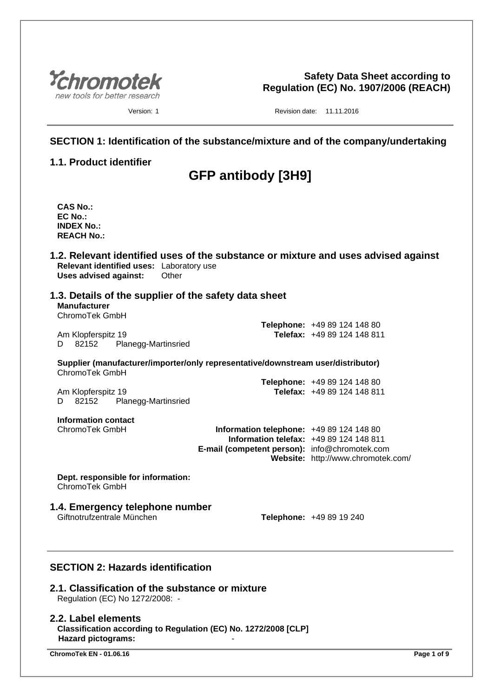

**Safety Data Sheet according to Regulation (EC) No. 1907/2006 (REACH)**

Version: 1 **Version: 1** Revision date: 11.11.2016

# **SECTION 1: Identification of the substance/mixture and of the company/undertaking**

# **1.1. Product identifier**

# **GFP antibody [3H9]**

- **CAS No.: EC No.: INDEX No.: REACH No.:**
- **1.2. Relevant identified uses of the substance or mixture and uses advised against Relevant identified uses:** Laboratory use **Uses advised against:** Other
- **1.3. Details of the supplier of the safety data sheet Manufacturer** ChromoTek GmbH

Am Klopferspitz 19 **Telefax:** +49 89 124 148 811 D 82152 Planegg-Martinsried

**Supplier (manufacturer/importer/only representative/downstream user/distributor)** ChromoTek GmbH

|                    |                     | <b>Telephone:</b> +49 89 124 148 80 |
|--------------------|---------------------|-------------------------------------|
| Am Klopferspitz 19 |                     | Telefax: +49 89 124 148 811         |
| D 82152            | Planegg-Martinsried |                                     |

**Information contact**

ChromoTek GmbH **Information telephone:** +49 89 124 148 80 **Information telefax:** +49 89 124 148 811 **E-mail (competent person):** info@chromotek.com **Website:** http://www.chromotek.com/

**Telephone:** +49 89 124 148 80

**Dept. responsible for information:** ChromoTek GmbH

# **1.4. Emergency telephone number**

**Telephone:** +49 89 19 240

# **SECTION 2: Hazards identification**

# **2.1. Classification of the substance or mixture**

Regulation (EC) No 1272/2008: -

#### **2.2. Label elements**

**Classification according to Regulation (EC) No. 1272/2008 [CLP] Hazard pictograms:** -

**ChromoTek EN - 01.06.16 Page 1 of 9**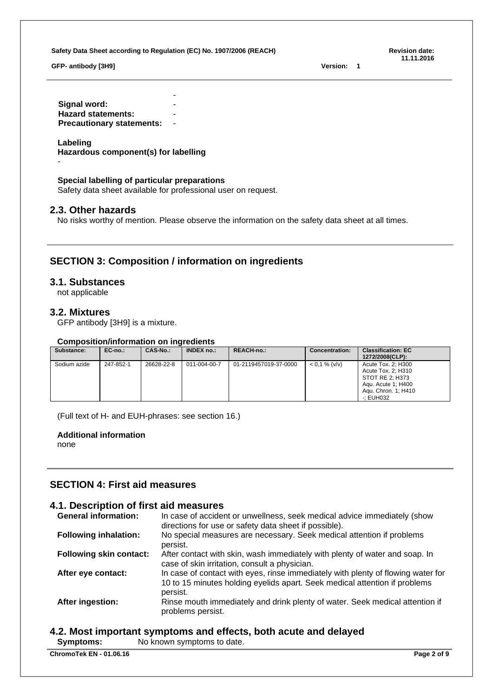**GFP- antibody [3H9] Version: 1**

**11.11.2016**

- **Signal word: Hazard statements:** - **Precautionary statements:** -

## **Labeling**

-

**Hazardous component(s) for labelling**

## **Special labelling of particular preparations**

Safety data sheet available for professional user on request.

## **2.3. Other hazards**

No risks worthy of mention. Please observe the information on the safety data sheet at all times.

# **SECTION 3: Composition / information on ingredients**

## **3.1. Substances**

not applicable

## **3.2. Mixtures**

GFP antibody [3H9] is a mixture.

## **Composition/information on ingredients**

| Substance:   | $EC-no.:$ | CAS-No.:   | <b>INDEX no.:</b> | <b>REACH-no.:</b>     | <b>Concentration:</b> | <b>Classification: EC</b><br>1272/2008(CLP):                                                                          |
|--------------|-----------|------------|-------------------|-----------------------|-----------------------|-----------------------------------------------------------------------------------------------------------------------|
| Sodium azide | 247-852-1 | 26628-22-8 | 011-004-00-7      | 01-2119457019-37-0000 | $< 0.1 %$ (v/v)       | Acute Tox. 2; H300<br>Acute Tox. 2: H310<br>STOT RE 2: H373<br>Agu. Acute 1; H400<br>Agu. Chron. 1; H410<br>-: EUH032 |

(Full text of H- and EUH-phrases: see section 16.)

#### **Additional information**

none

# **SECTION 4: First aid measures**

# **4.1. Description of first aid measures**

| <b>General information:</b>    | In case of accident or unwellness, seek medical advice immediately (show<br>directions for use or safety data sheet if possible).                                          |
|--------------------------------|----------------------------------------------------------------------------------------------------------------------------------------------------------------------------|
| <b>Following inhalation:</b>   | No special measures are necessary. Seek medical attention if problems<br>persist.                                                                                          |
| <b>Following skin contact:</b> | After contact with skin, wash immediately with plenty of water and soap. In<br>case of skin irritation, consult a physician.                                               |
| After eye contact:             | In case of contact with eyes, rinse immediately with plenty of flowing water for<br>10 to 15 minutes holding eyelids apart. Seek medical attention if problems<br>persist. |
| After ingestion:               | Rinse mouth immediately and drink plenty of water. Seek medical attention if<br>problems persist.                                                                          |

# **4.2. Most important symptoms and effects, both acute and delayed**

**Symptoms:** No known symptoms to date.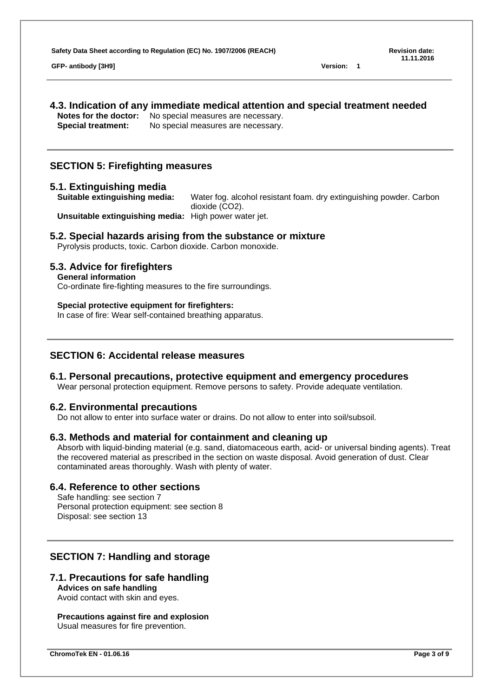**GFP- antibody [3H9] Version: 1**

# **4.3. Indication of any immediate medical attention and special treatment needed**

**Notes for the doctor:** No special measures are necessary. **Special treatment:** No special measures are necessary.

# **SECTION 5: Firefighting measures**

# **5.1. Extinguishing media**

Water fog. alcohol resistant foam. dry extinguishing powder. Carbon dioxide (CO2).

**Unsuitable extinguishing media:** High power water jet.

# **5.2. Special hazards arising from the substance or mixture**

Pyrolysis products, toxic. Carbon dioxide. Carbon monoxide.

# **5.3. Advice for firefighters**

# **General information**

Co-ordinate fire-fighting measures to the fire surroundings.

# **Special protective equipment for firefighters:**

In case of fire: Wear self-contained breathing apparatus.

# **SECTION 6: Accidental release measures**

# **6.1. Personal precautions, protective equipment and emergency procedures**

Wear personal protection equipment. Remove persons to safety. Provide adequate ventilation.

# **6.2. Environmental precautions**

Do not allow to enter into surface water or drains. Do not allow to enter into soil/subsoil.

# **6.3. Methods and material for containment and cleaning up**

Absorb with liquid-binding material (e.g. sand, diatomaceous earth, acid- or universal binding agents). Treat the recovered material as prescribed in the section on waste disposal. Avoid generation of dust. Clear contaminated areas thoroughly. Wash with plenty of water.

# **6.4. Reference to other sections**

Safe handling: see section 7 Personal protection equipment: see section 8 Disposal: see section 13

# **SECTION 7: Handling and storage**

# **7.1. Precautions for safe handling**

**Advices on safe handling** Avoid contact with skin and eyes.

#### **Precautions against fire and explosion** Usual measures for fire prevention.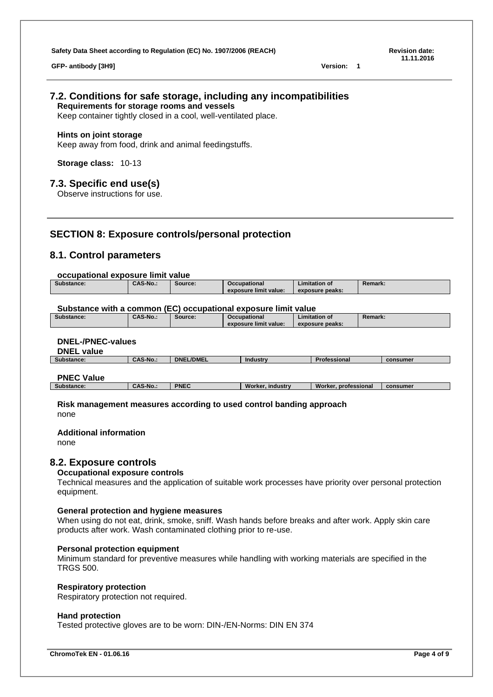**GFP- antibody [3H9] Version: 1**

**11.11.2016**

#### **7.2. Conditions for safe storage, including any incompatibilities Requirements for storage rooms and vessels**

Keep container tightly closed in a cool, well-ventilated place.

#### **Hints on joint storage**

Keep away from food, drink and animal feedingstuffs.

**Storage class:** 10-13

# **7.3. Specific end use(s)**

Observe instructions for use.

# **SECTION 8: Exposure controls/personal protection**

# **8.1. Control parameters**

#### **occupational exposure limit value**

| Substance: | <b>CAS-No.:</b> | Source: | <b>Occupational</b>   | Limitation of   | Remark: |
|------------|-----------------|---------|-----------------------|-----------------|---------|
|            |                 |         | exposure limit value: | exposure peaks: |         |

#### **Substance with a common (EC) occupational exposure limit value**

| Substance: | <b>CAS-No.:</b> | Source: | <b>Occupational</b>   | ∟imitation of   | Remark. |
|------------|-----------------|---------|-----------------------|-----------------|---------|
|            |                 |         | exposure limit value: | exposure peaks: |         |

# **DNEL-/PNEC-values**

**DNEL value**

| $-11 - - 111 - 12$<br>_____ |                 |                              |          |         |          |
|-----------------------------|-----------------|------------------------------|----------|---------|----------|
| Substance:                  | <b>CAS-No.:</b> | <b>EL/DMEL</b><br><b>DNE</b> | Industry | ssional | consumer |
|                             |                 |                              |          |         |          |
|                             |                 |                              |          |         |          |

# **PNEC Value**

**Substance: CAS-No.: PNEC Worker, industry Worker, professional consumer**

**Risk management measures according to used control banding approach** none

#### **Additional information**

none

## **8.2. Exposure controls**

#### **Occupational exposure controls**

Technical measures and the application of suitable work processes have priority over personal protection equipment.

#### **General protection and hygiene measures**

When using do not eat, drink, smoke, sniff. Wash hands before breaks and after work. Apply skin care products after work. Wash contaminated clothing prior to re-use.

#### **Personal protection equipment**

Minimum standard for preventive measures while handling with working materials are specified in the TRGS 500.

#### **Respiratory protection**

Respiratory protection not required.

#### **Hand protection**

Tested protective gloves are to be worn: DIN-/EN-Norms: DIN EN 374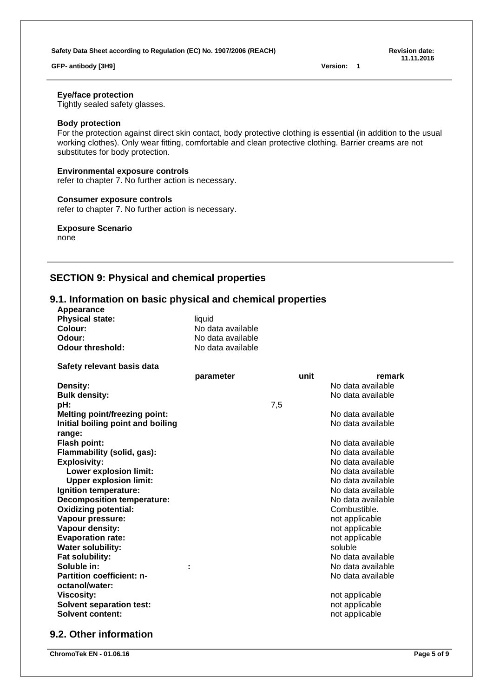#### **GFP- antibody [3H9] Version: 1**

**11.11.2016**

#### **Eye/face protection**

Tightly sealed safety glasses.

## **Body protection**

For the protection against direct skin contact, body protective clothing is essential (in addition to the usual working clothes). Only wear fitting, comfortable and clean protective clothing. Barrier creams are not substitutes for body protection.

#### **Environmental exposure controls**

refer to chapter 7. No further action is necessary.

#### **Consumer exposure controls**

refer to chapter 7. No further action is necessary.

#### **Exposure Scenario**

none

# **SECTION 9: Physical and chemical properties**

# **9.1. Information on basic physical and chemical properties**

| Appearance                           |                   |     |      |                   |
|--------------------------------------|-------------------|-----|------|-------------------|
| <b>Physical state:</b>               | liquid            |     |      |                   |
| Colour:                              | No data available |     |      |                   |
| Odour:                               | No data available |     |      |                   |
| <b>Odour threshold:</b>              | No data available |     |      |                   |
| Safety relevant basis data           |                   |     |      |                   |
|                                      | parameter         |     | unit | remark            |
| Density:                             |                   |     |      | No data available |
| <b>Bulk density:</b>                 |                   |     |      | No data available |
| pH:                                  |                   | 7,5 |      |                   |
| <b>Melting point/freezing point:</b> |                   |     |      | No data available |
| Initial boiling point and boiling    |                   |     |      | No data available |
| range:                               |                   |     |      |                   |
| Flash point:                         |                   |     |      | No data available |
| Flammability (solid, gas):           |                   |     |      | No data available |
| <b>Explosivity:</b>                  |                   |     |      | No data available |
| <b>Lower explosion limit:</b>        |                   |     |      | No data available |
| <b>Upper explosion limit:</b>        |                   |     |      | No data available |
| Ignition temperature:                |                   |     |      | No data available |
| <b>Decomposition temperature:</b>    |                   |     |      | No data available |
| <b>Oxidizing potential:</b>          |                   |     |      | Combustible.      |
| Vapour pressure:                     |                   |     |      | not applicable    |
| Vapour density:                      |                   |     |      | not applicable    |
| <b>Evaporation rate:</b>             |                   |     |      | not applicable    |
| <b>Water solubility:</b>             |                   |     |      | soluble           |
| Fat solubility:                      |                   |     |      | No data available |
| Soluble in:                          |                   |     |      | No data available |
| <b>Partition coefficient: n-</b>     |                   |     |      | No data available |
| octanol/water:                       |                   |     |      |                   |
| <b>Viscosity:</b>                    |                   |     |      | not applicable    |
| <b>Solvent separation test:</b>      |                   |     |      | not applicable    |
| <b>Solvent content:</b>              |                   |     |      | not applicable    |
|                                      |                   |     |      |                   |

# **9.2. Other information**

**ChromoTek EN - 01.06.16 Page 5 of 9**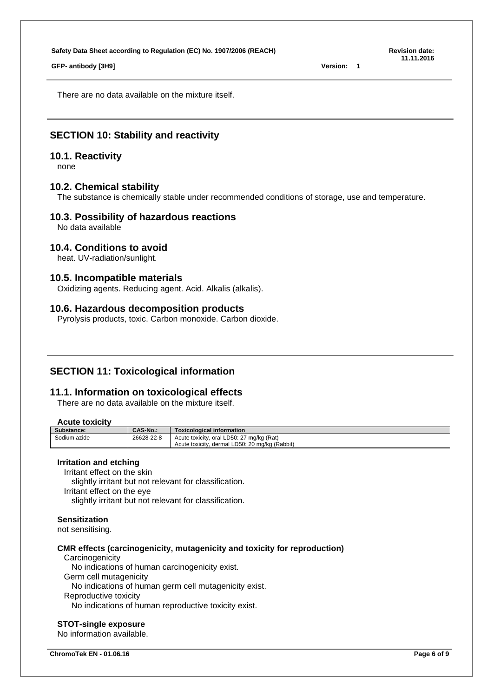**GFP- antibody [3H9] Version: 1**

There are no data available on the mixture itself.

# **SECTION 10: Stability and reactivity**

#### **10.1. Reactivity**

none

## **10.2. Chemical stability**

The substance is chemically stable under recommended conditions of storage, use and temperature.

# **10.3. Possibility of hazardous reactions**

No data available

## **10.4. Conditions to avoid**

heat. UV-radiation/sunlight.

## **10.5. Incompatible materials**

Oxidizing agents. Reducing agent. Acid. Alkalis (alkalis).

## **10.6. Hazardous decomposition products**

Pyrolysis products, toxic. Carbon monoxide. Carbon dioxide.

# **SECTION 11: Toxicological information**

# **11.1. Information on toxicological effects**

There are no data available on the mixture itself.

## **Acute toxicity**

| Substance:   | <b>CAS-No.:</b> | <b>Toxicological information</b>               |
|--------------|-----------------|------------------------------------------------|
| Sodium azide | 26628-22-8      | Acute toxicity, oral LD50: 27 mg/kg (Rat)      |
|              |                 | Acute toxicity, dermal LD50: 20 mg/kg (Rabbit) |

#### **Irritation and etching**

Irritant effect on the skin slightly irritant but not relevant for classification. Irritant effect on the eye slightly irritant but not relevant for classification.

#### **Sensitization**

not sensitising.

#### **CMR effects (carcinogenicity, mutagenicity and toxicity for reproduction)**

**Carcinogenicity** 

No indications of human carcinogenicity exist.

Germ cell mutagenicity

No indications of human germ cell mutagenicity exist.

Reproductive toxicity

No indications of human reproductive toxicity exist.

#### **STOT-single exposure**

No information available.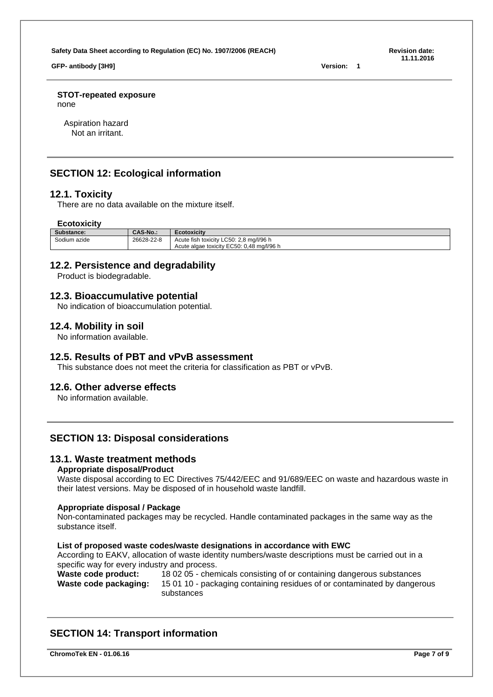**GFP- antibody [3H9] Version: 1**

**11.11.2016**

**STOT-repeated exposure**

none

Aspiration hazard Not an irritant.

# **SECTION 12: Ecological information**

# **12.1. Toxicity**

There are no data available on the mixture itself.

### **Ecotoxicity**

| Substance:   | <b>CAS-No.:</b> | <b>Ecotoxicity</b>                             |
|--------------|-----------------|------------------------------------------------|
| Sodium azide | 26628-22-8      | / LC50: 2,8 mg/l/96 h<br>Acute fish toxicity L |
|              |                 | Acute algae toxicity EC50: 0,48 mg/l/96 h      |

# **12.2. Persistence and degradability**

Product is biodegradable.

# **12.3. Bioaccumulative potential**

No indication of bioaccumulation potential.

# **12.4. Mobility in soil**

No information available.

# **12.5. Results of PBT and vPvB assessment**

This substance does not meet the criteria for classification as PBT or vPvB.

# **12.6. Other adverse effects**

No information available.

# **SECTION 13: Disposal considerations**

# **13.1. Waste treatment methods**

#### **Appropriate disposal/Product**

Waste disposal according to EC Directives 75/442/EEC and 91/689/EEC on waste and hazardous waste in their latest versions. May be disposed of in household waste landfill.

#### **Appropriate disposal / Package**

Non-contaminated packages may be recycled. Handle contaminated packages in the same way as the substance itself.

#### **List of proposed waste codes/waste designations in accordance with EWC**

According to EAKV, allocation of waste identity numbers/waste descriptions must be carried out in a specific way for every industry and process.

#### Waste code product: 18 02 05 - chemicals consisting of or containing dangerous substances<br>Waste code packaging: 15 01 10 - packaging containing residues of or contaminated by dangered 15 01 10 - packaging containing residues of or contaminated by dangerous substances

# **SECTION 14: Transport information**

**ChromoTek EN - 01.06.16 Page 7 of 9**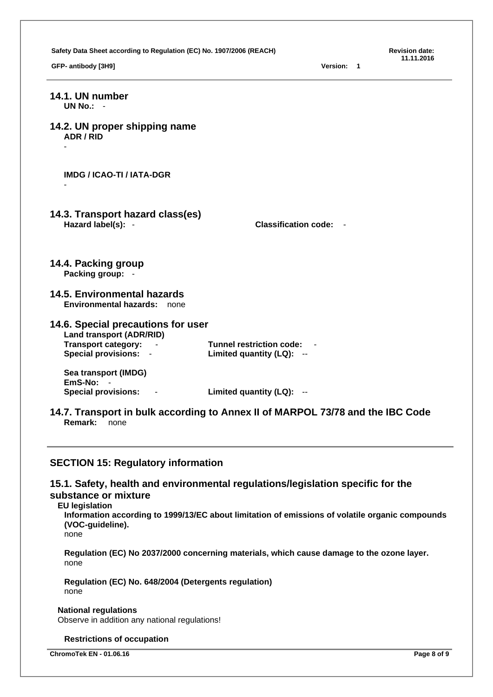Safety Data Sheet according to Regulation (EC) No. 1907/2006 (REACH) **Revision date: Revision date: Revision 11.11.2016 GFP- antibody [3H9] Version: 1 14.1. UN number UN No.:** - **14.2. UN proper shipping name ADR / RID** - **IMDG / ICAO-TI / IATA-DGR** - **14.3. Transport hazard class(es) Hazard label(s):** - **Classification code:** - **14.4. Packing group Packing group:** - **14.5. Environmental hazards Environmental hazards:** none **14.6. Special precautions for user Land transport (ADR/RID) Transport category:** - **Tunnel restriction code:** - **Special provisions:** - **Limited quantity (LQ):** -- **Sea transport (IMDG) EmS-No: Special provisions:** - **Limited quantity (LQ):** -- **14.7. Transport in bulk according to Annex II of MARPOL 73/78 and the IBC Code Remark:** none **SECTION 15: Regulatory information 15.1. Safety, health and environmental regulations/legislation specific for the substance or mixture EU legislation Information according to 1999/13/EC about limitation of emissions of volatile organic compounds (VOC-guideline).** none **Regulation (EC) No 2037/2000 concerning materials, which cause damage to the ozone layer.** none

**Regulation (EC) No. 648/2004 (Detergents regulation)** none

# **National regulations**

Observe in addition any national regulations!

#### **Restrictions of occupation**

**ChromoTek EN - 01.06.16 Page 8 of 9**